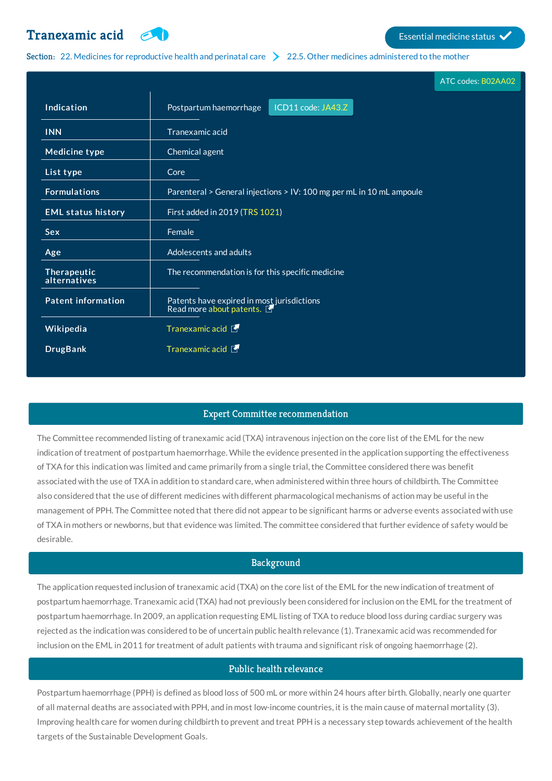# **[Tranexamic](http://list.essentialmeds.org/medicines/127) acid Extending COV Essential medicine status**



Section: 22. Medicines for [reproductive](http://list.essentialmeds.org/?section=446) health and perinatal care  $\geq 22.5$ . Other medicines [administered](http://list.essentialmeds.org/?section=492) to the mother

|                             |                                                                        | ATC codes: B02AA02 |
|-----------------------------|------------------------------------------------------------------------|--------------------|
| Indication                  | ICD11 code: JA43.Z<br>Postpartum haemorrhage                           |                    |
| <b>INN</b>                  | Tranexamic acid                                                        |                    |
| <b>Medicine type</b>        | Chemical agent                                                         |                    |
| List type                   | Core                                                                   |                    |
| <b>Formulations</b>         | Parenteral > General injections > IV: 100 mg per mL in 10 mL ampoule   |                    |
| <b>EML status history</b>   | First added in 2019 (TRS 1021)                                         |                    |
| <b>Sex</b>                  | Female                                                                 |                    |
| Age                         | Adolescents and adults                                                 |                    |
| Therapeutic<br>alternatives | The recommendation is for this specific medicine                       |                    |
| <b>Patent information</b>   | Patents have expired in most jurisdictions<br>Read more about patents. |                    |
| Wikipedia                   | Tranexamic acid                                                        |                    |
| <b>DrugBank</b>             | Tranexamic acid                                                        |                    |

## Expert Committee recommendation

The Committee recommended listing of tranexamic acid (TXA) intravenous injection on the core list of the EML for the new indication of treatment of postpartum haemorrhage. While the evidence presented in the application supporting the effectiveness of TXA for this indication was limited and came primarily from a single trial, the Committee considered there was benefit associated with the use of TXA in addition to standard care, when administered within three hours of childbirth. The Committee also considered that the use of different medicines with different pharmacological mechanisms of action may be useful in the management of PPH. The Committee noted that there did not appear to be significant harms or adverse events associated with use of TXA in mothers or newborns, but that evidence was limited. The committee considered that further evidence of safety would be desirable.

# **Background**

The application requested inclusion of tranexamic acid (TXA) on the core list of the EML for the new indication of treatment of postpartum haemorrhage. Tranexamic acid (TXA) had not previously been considered for inclusion on the EML for the treatment of postpartum haemorrhage. In 2009, an application requesting EML listing of TXA to reduce blood loss during cardiac surgery was rejected as the indication was considered to be of uncertain public health relevance (1). Tranexamic acid was recommended for inclusion on the EML in 2011 for treatment of adult patients with trauma and significant risk of ongoing haemorrhage (2).

## Public health relevance

Postpartum haemorrhage (PPH) is defined as blood loss of 500 mL or more within 24 hours after birth. Globally, nearly one quarter of all maternal deaths are associated with PPH, and in most low-income countries, it is the main cause of maternal mortality (3). Improving health care for women during childbirth to prevent and treat PPH is a necessary step towards achievement of the health targets of the Sustainable Development Goals.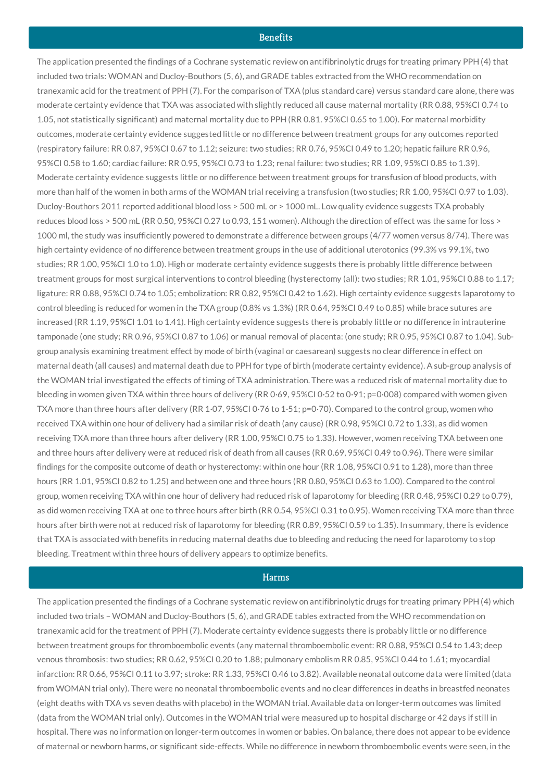#### **Benefits**

The application presented the findings of a Cochrane systematic review on antifibrinolytic drugs for treating primary PPH (4) that included two trials: WOMAN and Ducloy-Bouthors (5, 6), and GRADE tables extracted from the WHO recommendation on tranexamic acid for the treatment of PPH (7). For the comparison of TXA (plus standard care) versus standard care alone, there was moderate certainty evidence that TXA was associated with slightly reduced all cause maternal mortality (RR 0.88, 95%CI 0.74 to 1.05, not statistically significant) and maternal mortality due to PPH (RR 0.81. 95%CI 0.65 to 1.00). For maternal morbidity outcomes, moderate certainty evidence suggested little or no difference between treatment groups for any outcomes reported (respiratory failure: RR 0.87, 95%CI 0.67 to 1.12; seizure: two studies; RR 0.76, 95%CI 0.49 to 1.20; hepatic failure RR 0.96, 95%CI 0.58 to 1.60; cardiac failure: RR 0.95, 95%CI 0.73 to 1.23; renal failure: two studies; RR 1.09, 95%CI 0.85 to 1.39). Moderate certainty evidence suggests little or no difference between treatment groups for transfusion of blood products, with more than half of the women in both arms of the WOMAN trial receiving a transfusion (two studies; RR 1.00, 95%CI 0.97 to 1.03). Ducloy-Bouthors 2011 reported additional blood loss > 500 mL or > 1000 mL. Low quality evidence suggests TXA probably reduces blood loss > 500 mL (RR 0.50, 95%CI 0.27 to 0.93, 151 women). Although the direction of effect was the same for loss > 1000 ml, the study was insufficiently powered to demonstrate a difference between groups (4/77 women versus 8/74). There was high certainty evidence of no difference between treatment groups in the use of additional uterotonics (99.3% vs 99.1%, two studies; RR 1.00, 95%CI 1.0 to 1.0). High or moderate certainty evidence suggests there is probably little difference between treatment groups for most surgical interventions to control bleeding (hysterectomy (all): two studies; RR 1.01, 95%CI 0.88 to 1.17; ligature: RR 0.88, 95%CI 0.74 to 1.05; embolization: RR 0.82, 95%CI 0.42 to 1.62). High certainty evidence suggests laparotomy to control bleeding is reduced for women in the TXA group (0.8% vs 1.3%) (RR 0.64, 95%CI 0.49 to 0.85) while brace sutures are increased (RR 1.19, 95%CI 1.01 to 1.41). High certainty evidence suggests there is probably little or no difference in intrauterine tamponade (one study; RR 0.96, 95%CI 0.87 to 1.06) or manual removal of placenta: (one study; RR 0.95, 95%CI 0.87 to 1.04). Subgroup analysis examining treatment effect by mode of birth (vaginal or caesarean) suggests no clear difference in effect on maternal death (all causes) and maternal death due to PPH for type of birth (moderate certainty evidence). A sub-group analysis of the WOMAN trial investigated the effects of timing of TXA administration. There was a reduced risk of maternal mortality due to bleeding in women given TXA within three hours of delivery (RR 0·69, 95%CI 0·52 to 0·91; p=0·008) compared with women given TXA more than three hours after delivery (RR 1·07, 95%CI 0·76 to 1·51; p=0·70). Compared to the control group, women who received TXA within one hour of delivery had a similar risk of death (any cause) (RR 0.98, 95%CI 0.72 to 1.33), as did women receiving TXA more than three hours after delivery (RR 1.00, 95%CI 0.75 to 1.33). However, women receiving TXA between one and three hours after delivery were at reduced risk of death from all causes (RR 0.69, 95%CI 0.49 to 0.96). There were similar findings for the composite outcome of death or hysterectomy: within one hour (RR 1.08, 95%CI 0.91 to 1.28), more than three hours (RR 1.01, 95%CI 0.82 to 1.25) and between one and three hours (RR 0.80, 95%CI 0.63 to 1.00). Compared to the control group, women receiving TXA within one hour of delivery had reduced risk of laparotomy for bleeding (RR 0.48, 95%CI 0.29 to 0.79), as did women receiving TXA at one to three hours after birth (RR 0.54, 95%CI 0.31 to 0.95). Women receiving TXA more than three hours after birth were not at reduced risk of laparotomy for bleeding (RR 0.89, 95%CI 0.59 to 1.35). In summary, there is evidence that TXA is associated with benefits in reducing maternal deaths due to bleeding and reducing the need for laparotomy to stop bleeding. Treatment within three hours of delivery appears to optimize benefits.

#### **Harms**

The application presented the findings of a Cochrane systematic review on antifibrinolytic drugs for treating primary PPH (4) which included two trials – WOMAN and Ducloy-Bouthors (5, 6), and GRADE tables extracted from the WHO recommendation on tranexamic acid for the treatment of PPH (7). Moderate certainty evidence suggests there is probably little or no difference between treatment groups for thromboembolic events (any maternal thromboembolic event: RR 0.88, 95%CI 0.54 to 1.43; deep venous thrombosis: two studies; RR 0.62, 95%CI 0.20 to 1.88; pulmonary embolism RR 0.85, 95%CI 0.44 to 1.61; myocardial infarction: RR 0.66, 95%CI 0.11 to 3.97; stroke: RR 1.33, 95%CI 0.46 to 3.82). Available neonatal outcome data were limited (data from WOMAN trial only). There were no neonatal thromboembolic events and no clear differences in deaths in breastfed neonates (eight deaths with TXA vs seven deaths with placebo) in the WOMAN trial. Available data on longer-term outcomes was limited (data from the WOMAN trial only). Outcomes in the WOMAN trial were measured up to hospital discharge or 42 days if still in hospital. There was no information on longer-term outcomes in women or babies. On balance, there does not appear to be evidence of maternal or newborn harms, or significant side-effects. While no difference in newborn thromboembolic events were seen, in the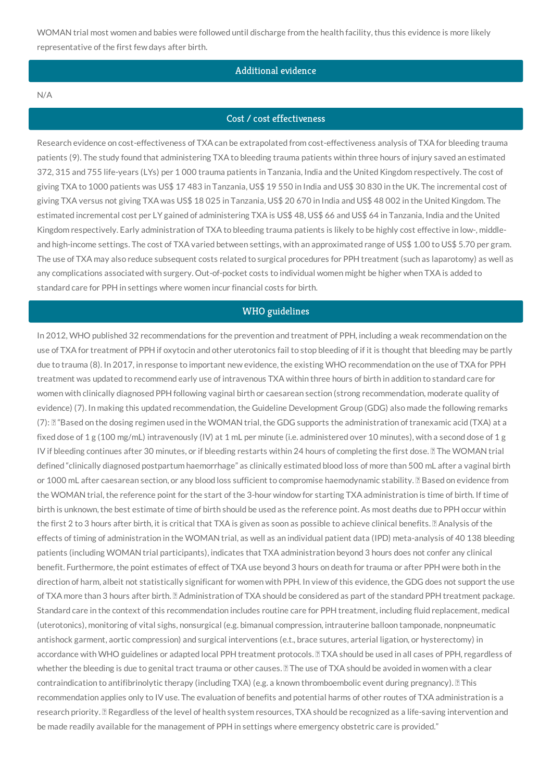WOMAN trial most women and babies were followed until discharge from the health facility, thus this evidence is more likely representative of the first few days after birth.

# Additional evidence

#### N/A

### Cost / cost effectiveness

Research evidence on cost-effectiveness of TXA can be extrapolated from cost-effectiveness analysis of TXA for bleeding trauma patients (9). The study found that administering TXA to bleeding trauma patients within three hours of injury saved an estimated 372, 315 and 755 life-years (LYs) per 1 000 trauma patients in Tanzania, India and the United Kingdom respectively. The cost of giving TXA to 1000 patients was US\$ 17 483 in Tanzania, US\$ 19 550 in India and US\$ 30 830 in the UK. The incremental cost of giving TXA versus not giving TXA was US\$ 18 025 in Tanzania, US\$ 20 670 in India and US\$ 48 002 in the United Kingdom. The estimated incremental cost per LY gained of administering TXA is US\$ 48, US\$ 66 and US\$ 64 in Tanzania, India and the United Kingdom respectively. Early administration of TXA to bleeding trauma patients is likely to be highly cost effective in low-, middleand high-income settings. The cost of TXA varied between settings, with an approximated range of US\$ 1.00 to US\$ 5.70 per gram. The use of TXA may also reduce subsequent costs related to surgical procedures for PPH treatment (such as laparotomy) as well as any complications associated with surgery. Out-of-pocket costs to individual women might be higher when TXA is added to standard care for PPH in settings where women incur financial costs for birth.

# WHO guidelines

In 2012, WHO published 32 recommendations for the prevention and treatment of PPH, including a weak recommendation on the use of TXA for treatment of PPH if oxytocin and other uterotonics fail to stop bleeding of if it is thought that bleeding may be partly due to trauma (8). In 2017, in response to important new evidence, the existing WHO recommendation on the use of TXA for PPH treatment was updated to recommend early use of intravenous TXA within three hours of birth in addition to standard care for women with clinically diagnosed PPH following vaginal birth or caesarean section (strong recommendation, moderate quality of evidence) (7). In making this updated recommendation, the Guideline Development Group (GDG) also made the following remarks (7): "Based on the dosing regimen used in the WOMAN trial, the GDG supports the administration of tranexamic acid (TXA) at a fixed dose of 1 g (100 mg/mL) intravenously (IV) at 1 mL per minute (i.e. administered over 10 minutes), with a second dose of 1 g IV if bleeding continues after 30 minutes, or if bleeding restarts within 24 hours of completing the first dose. I The WOMAN trial defined "clinically diagnosed postpartum haemorrhage" as clinically estimated blood loss of more than 500 mL after a vaginal birth or 1000 mL after caesarean section, or any blood loss sufficient to compromise haemodynamic stability. *B* Based on evidence from the WOMAN trial, the reference point for the start of the 3-hour window for starting TXA administration is time of birth. If time of birth is unknown, the best estimate of time of birth should be used as the reference point. As most deaths due to PPH occur within the first 2 to 3 hours after birth, it is critical that TXA is given as soon as possible to achieve clinical benefits. *Analysis* of the effects of timing of administration in the WOMAN trial, as well as an individual patient data (IPD) meta-analysis of 40 138 bleeding patients (including WOMAN trial participants), indicates that TXA administration beyond 3 hours does not confer any clinical benefit. Furthermore, the point estimates of effect of TXA use beyond 3 hours on death for trauma or after PPH were both in the direction of harm, albeit not statistically significant for women with PPH. In view of this evidence, the GDG does not support the use of TXA more than 3 hours after birth. *Administration of TXA should be considered as part of the standard PPH treatment package.* Standard care in the context of this recommendation includes routine care for PPH treatment, including fluid replacement, medical (uterotonics), monitoring of vital sighs, nonsurgical (e.g. bimanual compression, intrauterine balloon tamponade, nonpneumatic antishock garment, aortic compression) and surgical interventions (e.t., brace sutures, arterial ligation, or hysterectomy) in accordance with WHO guidelines or adapted local PPH treatment protocols. **II TXA should be used in all cases of PPH**, regardless of whether the bleeding is due to genital tract trauma or other causes. **I** The use of TXA should be avoided in women with a clear contraindication to antifibrinolytic therapy (including TXA) (e.g. a known thromboembolic event during pregnancy). II This recommendation applies only to IV use. The evaluation of benefits and potential harms of other routes of TXA administration is a research priority. **Regardless of the level of health system resources**, TXA should be recognized as a life-saving intervention and be made readily available for the management of PPH in settings where emergency obstetric care is provided."